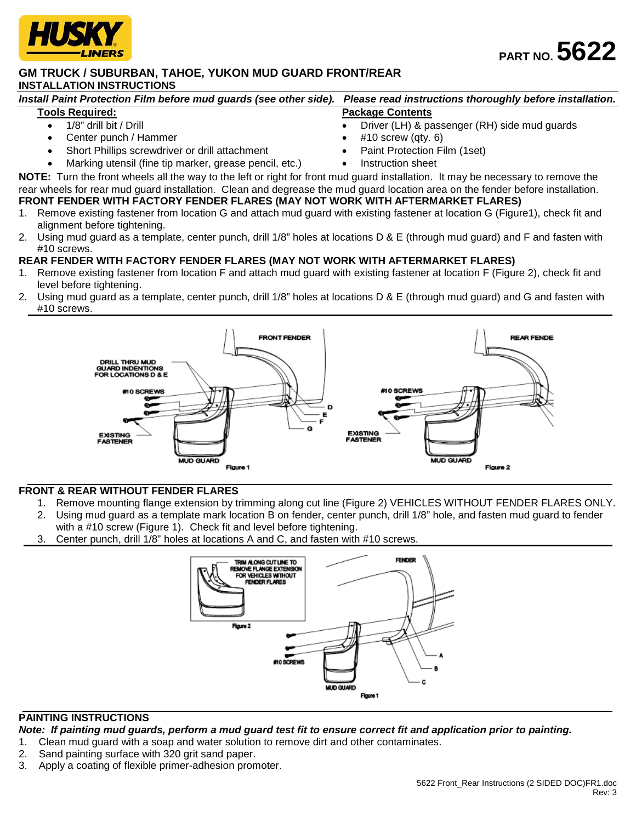

## **GM TRUCK / SUBURBAN, TAHOE, YUKON MUD GUARD FRONT/REAR INSTALLATION INSTRUCTIONS**

| Install Paint Protection Film before mud guards (see other side). Please read instructions thoroughly before installation. |                                              |
|----------------------------------------------------------------------------------------------------------------------------|----------------------------------------------|
| <b>Tools Required:</b>                                                                                                     | <b>Package Contents</b>                      |
| 1/8" drill bit / Drill                                                                                                     | Driver (LH) & passenger (RH) side mud guards |

- Center punch / Hammer
- Short Phillips screwdriver or drill attachment
- Marking utensil (fine tip marker, grease pencil, etc.)
- $#10$  screw (qty. 6)
- Paint Protection Film (1set)
- 
- Instruction sheet

**NOTE:** Turn the front wheels all the way to the left or right for front mud guard installation. It may be necessary to remove the rear wheels for rear mud guard installation. Clean and degrease the mud guard location area on the fender before installation. **FRONT FENDER WITH FACTORY FENDER FLARES (MAY NOT WORK WITH AFTERMARKET FLARES)**

- 1. Remove existing fastener from location G and attach mud guard with existing fastener at location G (Figure1), check fit and alignment before tightening.
- 2. Using mud guard as a template, center punch, drill 1/8" holes at locations D & E (through mud guard) and F and fasten with #10 screws.

## **REAR FENDER WITH FACTORY FENDER FLARES (MAY NOT WORK WITH AFTERMARKET FLARES)**

- 1. Remove existing fastener from location F and attach mud guard with existing fastener at location F (Figure 2), check fit and level before tightening.
- 2. Using mud guard as a template, center punch, drill 1/8" holes at locations D & E (through mud guard) and G and fasten with #10 screws.



## **FRONT & REAR WITHOUT FENDER FLARES**

- 1. Remove mounting flange extension by trimming along cut line (Figure 2) VEHICLES WITHOUT FENDER FLARES ONLY.
- 2. Using mud guard as a template mark location B on fender, center punch, drill 1/8" hole, and fasten mud guard to fender with a #10 screw (Figure 1). Check fit and level before tightening.
- 3. Center punch, drill 1/8" holes at locations A and C, and fasten with #10 screws.



## **PAINTING INSTRUCTIONS**

*Note: If painting mud guards, perform a mud guard test fit to ensure correct fit and application prior to painting.*

- 1. Clean mud guard with a soap and water solution to remove dirt and other contaminates.
- 2. Sand painting surface with 320 grit sand paper.
- 3. Apply a coating of flexible primer-adhesion promoter.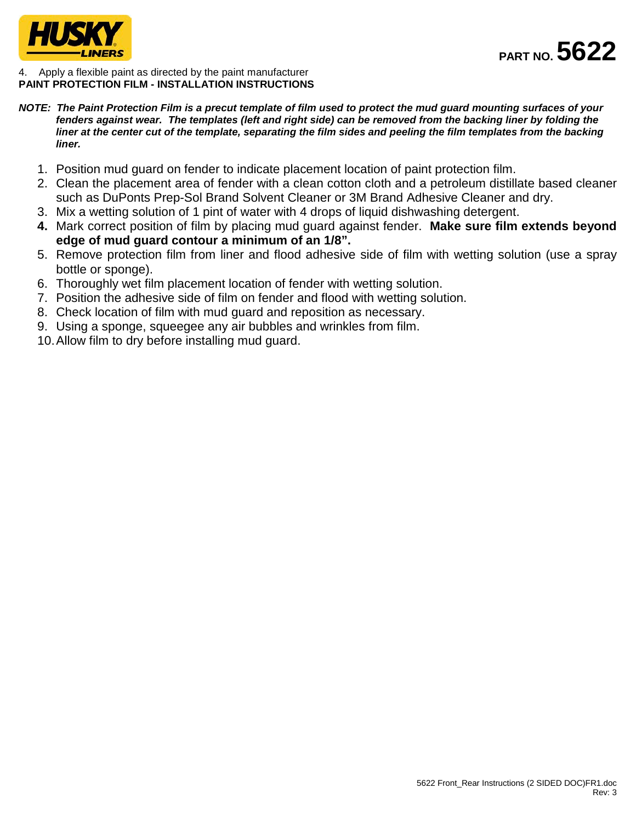

4. Apply a flexible paint as directed by the paint manufacturer **PAINT PROTECTION FILM - INSTALLATION INSTRUCTIONS**

- *NOTE: The Paint Protection Film is a precut template of film used to protect the mud guard mounting surfaces of your fenders against wear. The templates (left and right side) can be removed from the backing liner by folding the liner at the center cut of the template, separating the film sides and peeling the film templates from the backing liner.*
	- 1. Position mud guard on fender to indicate placement location of paint protection film.
	- 2. Clean the placement area of fender with a clean cotton cloth and a petroleum distillate based cleaner such as DuPonts Prep-Sol Brand Solvent Cleaner or 3M Brand Adhesive Cleaner and dry.
	- 3. Mix a wetting solution of 1 pint of water with 4 drops of liquid dishwashing detergent.
	- **4.** Mark correct position of film by placing mud guard against fender. **Make sure film extends beyond edge of mud guard contour a minimum of an 1/8".**
	- 5. Remove protection film from liner and flood adhesive side of film with wetting solution (use a spray bottle or sponge).
	- 6. Thoroughly wet film placement location of fender with wetting solution.
	- 7. Position the adhesive side of film on fender and flood with wetting solution.
	- 8. Check location of film with mud guard and reposition as necessary.
	- 9. Using a sponge, squeegee any air bubbles and wrinkles from film.
	- 10.Allow film to dry before installing mud guard.